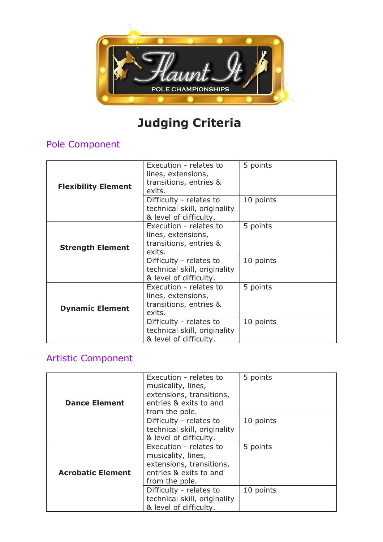

# **Judging Criteria**

## Pole Component

| <b>Flexibility Element</b> | Execution - relates to<br>lines, extensions,<br>transitions, entries &<br>exits.  | 5 points  |
|----------------------------|-----------------------------------------------------------------------------------|-----------|
|                            | Difficulty - relates to<br>technical skill, originality<br>& level of difficulty. | 10 points |
| <b>Strength Element</b>    | Execution - relates to<br>lines, extensions,<br>transitions, entries &<br>exits.  | 5 points  |
|                            | Difficulty - relates to<br>technical skill, originality<br>& level of difficulty. | 10 points |
| <b>Dynamic Element</b>     | Execution - relates to<br>lines, extensions,<br>transitions, entries &<br>exits.  | 5 points  |
|                            | Difficulty - relates to<br>technical skill, originality<br>& level of difficulty. | 10 points |

# Artistic Component

| <b>Dance Element</b>     | Execution - relates to<br>musicality, lines,<br>extensions, transitions,<br>entries & exits to and<br>from the pole. | 5 points  |
|--------------------------|----------------------------------------------------------------------------------------------------------------------|-----------|
|                          | Difficulty - relates to<br>technical skill, originality<br>& level of difficulty.                                    | 10 points |
| <b>Acrobatic Element</b> | Execution - relates to<br>musicality, lines,<br>extensions, transitions,<br>entries & exits to and<br>from the pole. | 5 points  |
|                          | Difficulty - relates to<br>technical skill, originality<br>& level of difficulty.                                    | 10 points |